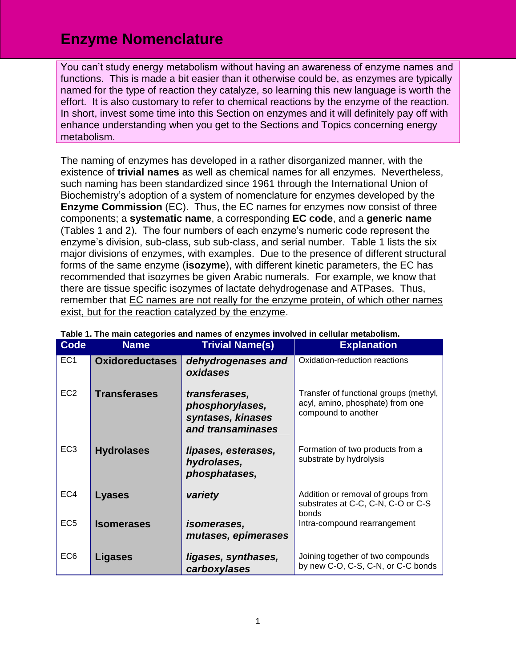## **Enzyme Nomenclature**

You can't study energy metabolism without having an awareness of enzyme names and functions. This is made a bit easier than it otherwise could be, as enzymes are typically named for the type of reaction they catalyze, so learning this new language is worth the effort. It is also customary to refer to chemical reactions by the enzyme of the reaction. In short, invest some time into this Section on enzymes and it will definitely pay off with enhance understanding when you get to the Sections and Topics concerning energy metabolism.

The naming of enzymes has developed in a rather disorganized manner, with the existence of **trivial names** as well as chemical names for all enzymes. Nevertheless, such naming has been standardized since 1961 through the International Union of Biochemistry's adoption of a system of nomenclature for enzymes developed by the **Enzyme Commission** (EC). Thus, the EC names for enzymes now consist of three components; a **systematic name**, a corresponding **EC code**, and a **generic name** (Tables 1 and 2). The four numbers of each enzyme's numeric code represent the enzyme's division, sub-class, sub sub-class, and serial number. Table 1 lists the six major divisions of enzymes, with examples. Due to the presence of different structural forms of the same enzyme (**isozyme**), with different kinetic parameters, the EC has recommended that isozymes be given Arabic numerals. For example, we know that there are tissue specific isozymes of lactate dehydrogenase and ATPases. Thus, remember that EC names are not really for the enzyme protein, of which other names exist, but for the reaction catalyzed by the enzyme.

| <b>Code</b>     | <b>Name</b>            | <b>Trivial Name(s)</b>                                                     | <b>Explanation</b>                                                                                |
|-----------------|------------------------|----------------------------------------------------------------------------|---------------------------------------------------------------------------------------------------|
| EC <sub>1</sub> | <b>Oxidoreductases</b> | dehydrogenases and<br>oxidases                                             | Oxidation-reduction reactions                                                                     |
| EC <sub>2</sub> | <b>Transferases</b>    | transferases,<br>phosphorylases,<br>syntases, kinases<br>and transaminases | Transfer of functional groups (methyl,<br>acyl, amino, phosphate) from one<br>compound to another |
| EC <sub>3</sub> | <b>Hydrolases</b>      | lipases, esterases,<br>hydrolases,<br>phosphatases,                        | Formation of two products from a<br>substrate by hydrolysis                                       |
| EC4             | <b>Lyases</b>          | variety                                                                    | Addition or removal of groups from<br>substrates at C-C, C-N, C-O or C-S<br>bonds                 |
| EC <sub>5</sub> | <b>Isomerases</b>      | <i>isomerases,</i><br>mutases, epimerases                                  | Intra-compound rearrangement                                                                      |
| EC <sub>6</sub> | <b>Ligases</b>         | ligases, synthases,<br>carboxylases                                        | Joining together of two compounds<br>by new C-O, C-S, C-N, or C-C bonds                           |

## **Table 1. The main categories and names of enzymes involved in cellular metabolism.**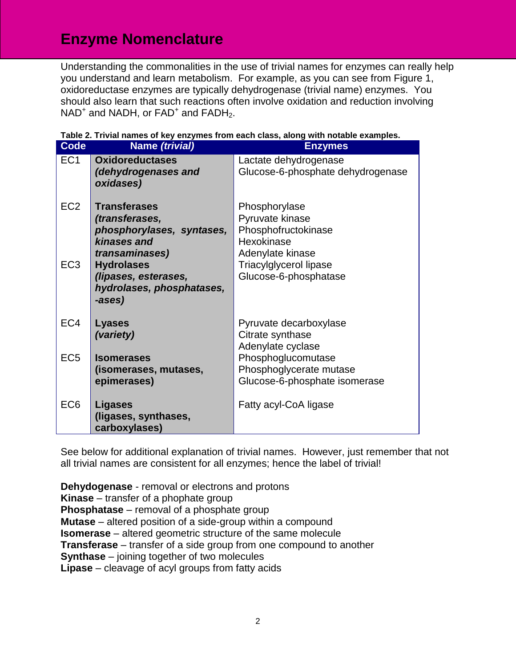## **Enzyme Nomenclature**

Understanding the commonalities in the use of trivial names for enzymes can really help you understand and learn metabolism. For example, as you can see from Figure 1, oxidoreductase enzymes are typically dehydrogenase (trivial name) enzymes. You should also learn that such reactions often involve oxidation and reduction involving  $NAD<sup>+</sup>$  and  $NADH$ , or  $FAD<sup>+</sup>$  and  $FADH<sub>2</sub>$ .

| Code                               | Name (trivial)                                                                                                                                                                          | $\sim$ 110111 00011 01000, 01011g with 1<br><b>Enzymes</b>                                                                                          |
|------------------------------------|-----------------------------------------------------------------------------------------------------------------------------------------------------------------------------------------|-----------------------------------------------------------------------------------------------------------------------------------------------------|
| EC <sub>1</sub>                    | <b>Oxidoreductases</b><br>(dehydrogenases and<br>oxidases)                                                                                                                              | Lactate dehydrogenase<br>Glucose-6-phosphate dehydrogenase                                                                                          |
| EC <sub>2</sub><br>EC <sub>3</sub> | <b>Transferases</b><br>(transferases,<br>phosphorylases, syntases,<br>kinases and<br>transaminases)<br><b>Hydrolases</b><br>(lipases, esterases,<br>hydrolases, phosphatases,<br>-ases) | Phosphorylase<br>Pyruvate kinase<br>Phosphofructokinase<br>Hexokinase<br>Adenylate kinase<br><b>Triacylglycerol lipase</b><br>Glucose-6-phosphatase |
| EC <sub>4</sub>                    | <b>Lyases</b><br>(variety)                                                                                                                                                              | Pyruvate decarboxylase<br>Citrate synthase<br>Adenylate cyclase                                                                                     |
| EC <sub>5</sub>                    | <b>Isomerases</b><br>(isomerases, mutases,<br>epimerases)                                                                                                                               | Phosphoglucomutase<br>Phosphoglycerate mutase<br>Glucose-6-phosphate isomerase                                                                      |
| EC <sub>6</sub>                    | <b>Ligases</b><br>(ligases, synthases,<br>carboxylases)                                                                                                                                 | Fatty acyl-CoA ligase                                                                                                                               |

See below for additional explanation of trivial names. However, just remember that not all trivial names are consistent for all enzymes; hence the label of trivial!

**Dehydogenase** - removal or electrons and protons **Kinase** – transfer of a phophate group **Phosphatase** – removal of a phosphate group **Mutase** – altered position of a side-group within a compound **Isomerase** – altered geometric structure of the same molecule **Transferase** – transfer of a side group from one compound to another **Synthase** – joining together of two molecules **Lipase** – cleavage of acyl groups from fatty acids